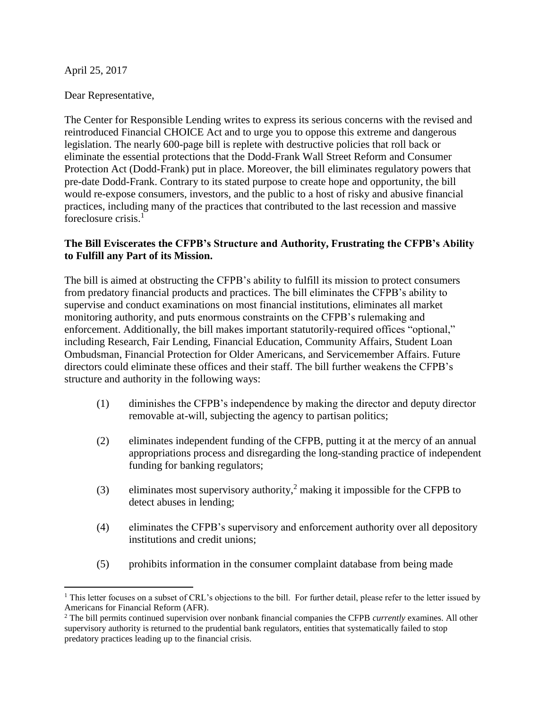April 25, 2017

 $\overline{a}$ 

Dear Representative,

The Center for Responsible Lending writes to express its serious concerns with the revised and reintroduced Financial CHOICE Act and to urge you to oppose this extreme and dangerous legislation. The nearly 600-page bill is replete with destructive policies that roll back or eliminate the essential protections that the Dodd-Frank Wall Street Reform and Consumer Protection Act (Dodd-Frank) put in place. Moreover, the bill eliminates regulatory powers that pre-date Dodd-Frank. Contrary to its stated purpose to create hope and opportunity, the bill would re-expose consumers, investors, and the public to a host of risky and abusive financial practices, including many of the practices that contributed to the last recession and massive foreclosure crisis.<sup>1</sup>

# **The Bill Eviscerates the CFPB's Structure and Authority, Frustrating the CFPB's Ability to Fulfill any Part of its Mission.**

The bill is aimed at obstructing the CFPB's ability to fulfill its mission to protect consumers from predatory financial products and practices. The bill eliminates the CFPB's ability to supervise and conduct examinations on most financial institutions, eliminates all market monitoring authority, and puts enormous constraints on the CFPB's rulemaking and enforcement. Additionally, the bill makes important statutorily-required offices "optional," including Research, Fair Lending, Financial Education, Community Affairs, Student Loan Ombudsman, Financial Protection for Older Americans, and Servicemember Affairs. Future directors could eliminate these offices and their staff. The bill further weakens the CFPB's structure and authority in the following ways:

- (1) diminishes the CFPB's independence by making the director and deputy director removable at-will, subjecting the agency to partisan politics;
- (2) eliminates independent funding of the CFPB, putting it at the mercy of an annual appropriations process and disregarding the long-standing practice of independent funding for banking regulators;
- (3) eliminates most supervisory authority,<sup>2</sup> making it impossible for the CFPB to detect abuses in lending;
- (4) eliminates the CFPB's supervisory and enforcement authority over all depository institutions and credit unions;
- (5) prohibits information in the consumer complaint database from being made

<sup>&</sup>lt;sup>1</sup> This letter focuses on a subset of CRL's objections to the bill. For further detail, please refer to the letter issued by Americans for Financial Reform (AFR).

<sup>2</sup> The bill permits continued supervision over nonbank financial companies the CFPB *currently* examines. All other supervisory authority is returned to the prudential bank regulators, entities that systematically failed to stop predatory practices leading up to the financial crisis.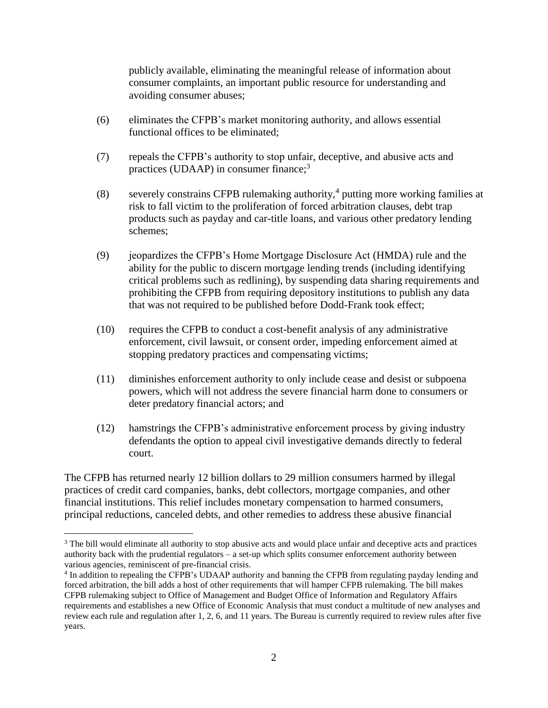publicly available, eliminating the meaningful release of information about consumer complaints, an important public resource for understanding and avoiding consumer abuses;

- (6) eliminates the CFPB's market monitoring authority, and allows essential functional offices to be eliminated;
- (7) repeals the CFPB's authority to stop unfair, deceptive, and abusive acts and practices (UDAAP) in consumer finance;<sup>3</sup>
- (8) severely constrains CFPB rulemaking authority,<sup>4</sup> putting more working families at risk to fall victim to the proliferation of forced arbitration clauses, debt trap products such as payday and car-title loans, and various other predatory lending schemes;
- (9) jeopardizes the CFPB's Home Mortgage Disclosure Act (HMDA) rule and the ability for the public to discern mortgage lending trends (including identifying critical problems such as redlining), by suspending data sharing requirements and prohibiting the CFPB from requiring depository institutions to publish any data that was not required to be published before Dodd-Frank took effect;
- (10) requires the CFPB to conduct a cost-benefit analysis of any administrative enforcement, civil lawsuit, or consent order, impeding enforcement aimed at stopping predatory practices and compensating victims;
- (11) diminishes enforcement authority to only include cease and desist or subpoena powers, which will not address the severe financial harm done to consumers or deter predatory financial actors; and
- (12) hamstrings the CFPB's administrative enforcement process by giving industry defendants the option to appeal civil investigative demands directly to federal court.

The CFPB has returned nearly 12 billion dollars to 29 million consumers harmed by illegal practices of credit card companies, banks, debt collectors, mortgage companies, and other financial institutions. This relief includes monetary compensation to harmed consumers, principal reductions, canceled debts, and other remedies to address these abusive financial

<sup>&</sup>lt;sup>3</sup> The bill would eliminate all authority to stop abusive acts and would place unfair and deceptive acts and practices authority back with the prudential regulators – a set-up which splits consumer enforcement authority between various agencies, reminiscent of pre-financial crisis.

<sup>4</sup> In addition to repealing the CFPB's UDAAP authority and banning the CFPB from regulating payday lending and forced arbitration, the bill adds a host of other requirements that will hamper CFPB rulemaking. The bill makes CFPB rulemaking subject to Office of Management and Budget Office of Information and Regulatory Affairs requirements and establishes a new Office of Economic Analysis that must conduct a multitude of new analyses and review each rule and regulation after 1, 2, 6, and 11 years. The Bureau is currently required to review rules after five years.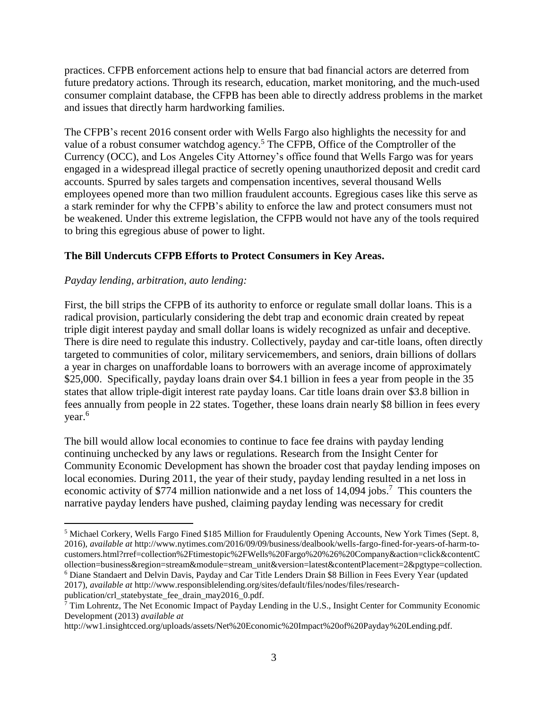practices. CFPB enforcement actions help to ensure that bad financial actors are deterred from future predatory actions. Through its research, education, market monitoring, and the much-used consumer complaint database, the CFPB has been able to directly address problems in the market and issues that directly harm hardworking families.

The CFPB's recent 2016 consent order with Wells Fargo also highlights the necessity for and value of a robust consumer watchdog agency.<sup>5</sup> The CFPB, Office of the Comptroller of the Currency (OCC), and Los Angeles City Attorney's office found that Wells Fargo was for years engaged in a widespread illegal practice of secretly opening unauthorized deposit and credit card accounts. Spurred by sales targets and compensation incentives, several thousand Wells employees opened more than two million fraudulent accounts. Egregious cases like this serve as a stark reminder for why the CFPB's ability to enforce the law and protect consumers must not be weakened. Under this extreme legislation, the CFPB would not have any of the tools required to bring this egregious abuse of power to light.

## **The Bill Undercuts CFPB Efforts to Protect Consumers in Key Areas.**

## *Payday lending, arbitration, auto lending:*

 $\overline{a}$ 

First, the bill strips the CFPB of its authority to enforce or regulate small dollar loans. This is a radical provision, particularly considering the debt trap and economic drain created by repeat triple digit interest payday and small dollar loans is widely recognized as unfair and deceptive. There is dire need to regulate this industry. Collectively, payday and car-title loans, often directly targeted to communities of color, military servicemembers, and seniors, drain billions of dollars a year in charges on unaffordable loans to borrowers with an average income of approximately \$25,000. Specifically, payday loans drain over \$4.1 billion in fees a year from people in the 35 states that allow triple‐digit interest rate payday loans. Car title loans drain over \$3.8 billion in fees annually from people in 22 states. Together, these loans drain nearly \$8 billion in fees every year.<sup>6</sup>

The bill would allow local economies to continue to face fee drains with payday lending continuing unchecked by any laws or regulations. Research from the Insight Center for Community Economic Development has shown the broader cost that payday lending imposes on local economies. During 2011, the year of their study, payday lending resulted in a net loss in economic activity of \$774 million nationwide and a net loss of 14,094 jobs.<sup>7</sup> This counters the narrative payday lenders have pushed, claiming payday lending was necessary for credit

2017), *available at* http://www.responsiblelending.org/sites/default/files/nodes/files/researchpublication/crl\_statebystate\_fee\_drain\_may2016\_0.pdf.

<sup>5</sup> Michael Corkery, Wells Fargo Fined \$185 Million for Fraudulently Opening Accounts, New York Times (Sept. 8, 2016), *available at* http://www.nytimes.com/2016/09/09/business/dealbook/wells-fargo-fined-for-years-of-harm-tocustomers.html?rref=collection%2Ftimestopic%2FWells%20Fargo%20%26%20Company&action=click&contentC ollection=business&region=stream&module=stream\_unit&version=latest&contentPlacement=2&pgtype=collection. <sup>6</sup> Diane Standaert and Delvin Davis, Payday and Car Title Lenders Drain \$8 Billion in Fees Every Year (updated

 $\bar{7}$  Tim Lohrentz, The Net Economic Impact of Payday Lending in the U.S., Insight Center for Community Economic Development (2013) *available at*

http://ww1.insightcced.org/uploads/assets/Net%20Economic%20Impact%20of%20Payday%20Lending.pdf.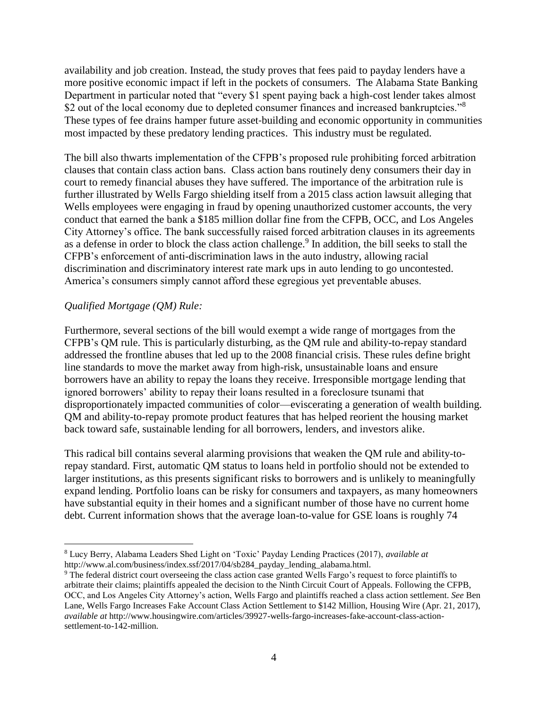availability and job creation. Instead, the study proves that fees paid to payday lenders have a more positive economic impact if left in the pockets of consumers. The Alabama State Banking Department in particular noted that "every \$1 spent paying back a high-cost lender takes almost \$2 out of the local economy due to depleted consumer finances and increased bankruptcies."<sup>8</sup> These types of fee drains hamper future asset-building and economic opportunity in communities most impacted by these predatory lending practices. This industry must be regulated.

The bill also thwarts implementation of the CFPB's proposed rule prohibiting forced arbitration clauses that contain class action bans. Class action bans routinely deny consumers their day in court to remedy financial abuses they have suffered. The importance of the arbitration rule is further illustrated by Wells Fargo shielding itself from a 2015 class action lawsuit alleging that Wells employees were engaging in fraud by opening unauthorized customer accounts, the very conduct that earned the bank a \$185 million dollar fine from the CFPB, OCC, and Los Angeles City Attorney's office. The bank successfully raised forced arbitration clauses in its agreements as a defense in order to block the class action challenge.<sup>9</sup> In addition, the bill seeks to stall the CFPB's enforcement of anti-discrimination laws in the auto industry, allowing racial discrimination and discriminatory interest rate mark ups in auto lending to go uncontested. America's consumers simply cannot afford these egregious yet preventable abuses.

### *Qualified Mortgage (QM) Rule:*

 $\overline{a}$ 

Furthermore, several sections of the bill would exempt a wide range of mortgages from the CFPB's QM rule. This is particularly disturbing, as the QM rule and ability-to-repay standard addressed the frontline abuses that led up to the 2008 financial crisis. These rules define bright line standards to move the market away from high-risk, unsustainable loans and ensure borrowers have an ability to repay the loans they receive. Irresponsible mortgage lending that ignored borrowers' ability to repay their loans resulted in a foreclosure tsunami that disproportionately impacted communities of color—eviscerating a generation of wealth building. QM and ability-to-repay promote product features that has helped reorient the housing market back toward safe, sustainable lending for all borrowers, lenders, and investors alike.

This radical bill contains several alarming provisions that weaken the QM rule and ability-torepay standard. First, automatic QM status to loans held in portfolio should not be extended to larger institutions, as this presents significant risks to borrowers and is unlikely to meaningfully expand lending. Portfolio loans can be risky for consumers and taxpayers, as many homeowners have substantial equity in their homes and a significant number of those have no current home debt. Current information shows that the average loan-to-value for GSE loans is roughly 74

<sup>8</sup> Lucy Berry, Alabama Leaders Shed Light on 'Toxic' Payday Lending Practices (2017), *available at* http://www.al.com/business/index.ssf/2017/04/sb284\_payday\_lending\_alabama.html.

<sup>&</sup>lt;sup>9</sup> The federal district court overseeing the class action case granted Wells Fargo's request to force plaintiffs to arbitrate their claims; plaintiffs appealed the decision to the Ninth Circuit Court of Appeals. Following the CFPB, OCC, and Los Angeles City Attorney's action, Wells Fargo and plaintiffs reached a class action settlement. *See* Ben Lane, Wells Fargo Increases Fake Account Class Action Settlement to \$142 Million, Housing Wire (Apr. 21, 2017), *available at* http://www.housingwire.com/articles/39927-wells-fargo-increases-fake-account-class-actionsettlement-to-142-million.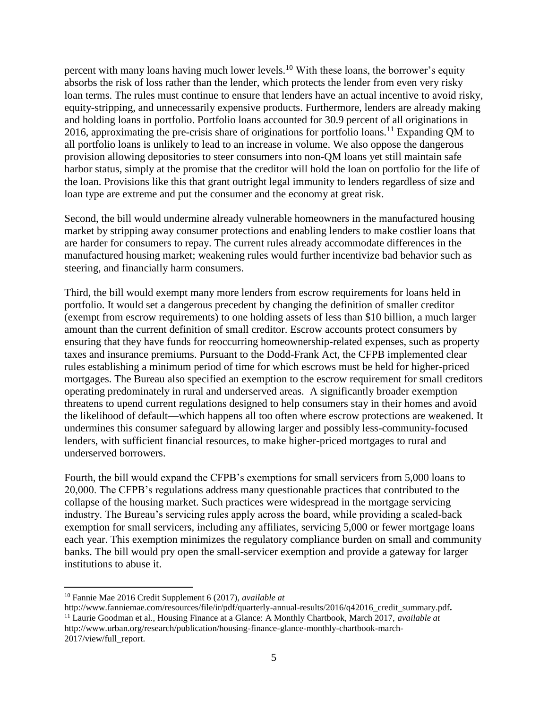percent with many loans having much lower levels.<sup>10</sup> With these loans, the borrower's equity absorbs the risk of loss rather than the lender, which protects the lender from even very risky loan terms. The rules must continue to ensure that lenders have an actual incentive to avoid risky, equity-stripping, and unnecessarily expensive products. Furthermore, lenders are already making and holding loans in portfolio. Portfolio loans accounted for 30.9 percent of all originations in 2016, approximating the pre-crisis share of originations for portfolio loans.<sup>11</sup> Expanding QM to all portfolio loans is unlikely to lead to an increase in volume. We also oppose the dangerous provision allowing depositories to steer consumers into non-QM loans yet still maintain safe harbor status, simply at the promise that the creditor will hold the loan on portfolio for the life of the loan. Provisions like this that grant outright legal immunity to lenders regardless of size and loan type are extreme and put the consumer and the economy at great risk.

Second, the bill would undermine already vulnerable homeowners in the manufactured housing market by stripping away consumer protections and enabling lenders to make costlier loans that are harder for consumers to repay. The current rules already accommodate differences in the manufactured housing market; weakening rules would further incentivize bad behavior such as steering, and financially harm consumers.

Third, the bill would exempt many more lenders from escrow requirements for loans held in portfolio. It would set a dangerous precedent by changing the definition of smaller creditor (exempt from escrow requirements) to one holding assets of less than \$10 billion, a much larger amount than the current definition of small creditor. Escrow accounts protect consumers by ensuring that they have funds for reoccurring homeownership-related expenses, such as property taxes and insurance premiums. Pursuant to the Dodd-Frank Act, the CFPB implemented clear rules establishing a minimum period of time for which escrows must be held for higher-priced mortgages. The Bureau also specified an exemption to the escrow requirement for small creditors operating predominately in rural and underserved areas. A significantly broader exemption threatens to upend current regulations designed to help consumers stay in their homes and avoid the likelihood of default—which happens all too often where escrow protections are weakened. It undermines this consumer safeguard by allowing larger and possibly less-community-focused lenders, with sufficient financial resources, to make higher-priced mortgages to rural and underserved borrowers.

Fourth, the bill would expand the CFPB's exemptions for small servicers from 5,000 loans to 20,000. The CFPB's regulations address many questionable practices that contributed to the collapse of the housing market. Such practices were widespread in the mortgage servicing industry. The Bureau's servicing rules apply across the board, while providing a scaled-back exemption for small servicers, including any affiliates, servicing 5,000 or fewer mortgage loans each year. This exemption minimizes the regulatory compliance burden on small and community banks. The bill would pry open the small-servicer exemption and provide a gateway for larger institutions to abuse it.

<sup>10</sup> Fannie Mae 2016 Credit Supplement 6 (2017), *available at* 

http://www.fanniemae.com/resources/file/ir/pdf/quarterly-annual-results/2016/q42016\_credit\_summary.pdf**.**  <sup>11</sup> Laurie Goodman et al., Housing Finance at a Glance: A Monthly Chartbook, March 2017, *available at*  http://www.urban.org/research/publication/housing-finance-glance-monthly-chartbook-march-2017/view/full\_report.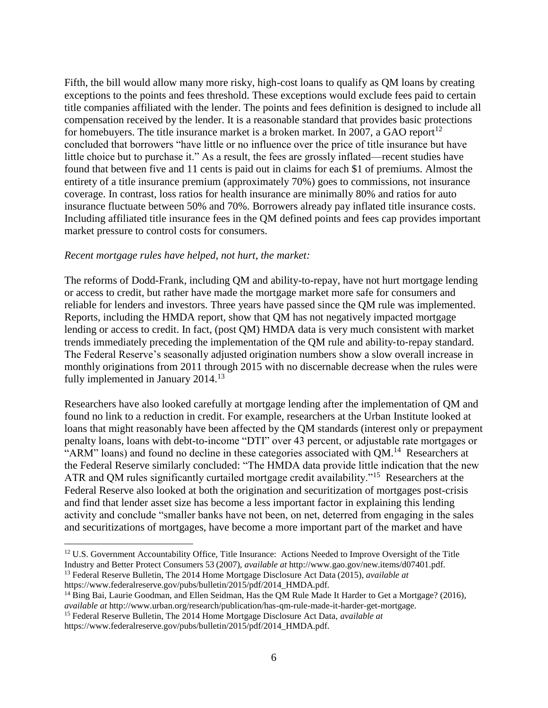Fifth, the bill would allow many more risky, high-cost loans to qualify as QM loans by creating exceptions to the points and fees threshold. These exceptions would exclude fees paid to certain title companies affiliated with the lender. The points and fees definition is designed to include all compensation received by the lender. It is a reasonable standard that provides basic protections for homebuyers. The title insurance market is a broken market. In 2007, a GAO report<sup>12</sup> concluded that borrowers "have little or no influence over the price of title insurance but have little choice but to purchase it." As a result, the fees are grossly inflated—recent studies have found that between five and 11 cents is paid out in claims for each \$1 of premiums. Almost the entirety of a title insurance premium (approximately 70%) goes to commissions, not insurance coverage. In contrast, loss ratios for health insurance are minimally 80% and ratios for auto insurance fluctuate between 50% and 70%. Borrowers already pay inflated title insurance costs. Including affiliated title insurance fees in the QM defined points and fees cap provides important market pressure to control costs for consumers.

#### *Recent mortgage rules have helped, not hurt, the market:*

The reforms of Dodd-Frank, including QM and ability-to-repay, have not hurt mortgage lending or access to credit, but rather have made the mortgage market more safe for consumers and reliable for lenders and investors. Three years have passed since the QM rule was implemented. Reports, including the HMDA report, show that QM has not negatively impacted mortgage lending or access to credit. In fact, (post QM) HMDA data is very much consistent with market trends immediately preceding the implementation of the QM rule and ability‐to‐repay standard. The Federal Reserve's seasonally adjusted origination numbers show a slow overall increase in monthly originations from 2011 through 2015 with no discernable decrease when the rules were fully implemented in January  $2014.<sup>13</sup>$ 

Researchers have also looked carefully at mortgage lending after the implementation of QM and found no link to a reduction in credit. For example, researchers at the Urban Institute looked at loans that might reasonably have been affected by the QM standards (interest only or prepayment penalty loans, loans with debt-to-income "DTI" over 43 percent, or adjustable rate mortgages or "ARM" loans) and found no decline in these categories associated with  $QM$ .<sup>14</sup> Researchers at the Federal Reserve similarly concluded: "The HMDA data provide little indication that the new ATR and QM rules significantly curtailed mortgage credit availability."<sup>15</sup> Researchers at the Federal Reserve also looked at both the origination and securitization of mortgages post-crisis and find that lender asset size has become a less important factor in explaining this lending activity and conclude "smaller banks have not been, on net, deterred from engaging in the sales and securitizations of mortgages, have become a more important part of the market and have

<sup>&</sup>lt;sup>12</sup> U.S. Government Accountability Office, Title Insurance: Actions Needed to Improve Oversight of the Title Industry and Better Protect Consumers 53 (2007), *available at* http://www.gao.gov/new.items/d07401.pdf. <sup>13</sup> Federal Reserve Bulletin, The 2014 Home Mortgage Disclosure Act Data (2015), *available at* 

https://www.federalreserve.gov/pubs/bulletin/2015/pdf/2014\_HMDA.pdf.

<sup>&</sup>lt;sup>14</sup> Bing Bai, Laurie Goodman, and Ellen Seidman, Has the QM Rule Made It Harder to Get a Mortgage? (2016), *available at* http://www.urban.org/research/publication/has-qm-rule-made-it-harder-get-mortgage.

<sup>15</sup> Federal Reserve Bulletin, The 2014 Home Mortgage Disclosure Act Data, *available at* 

https://www.federalreserve.gov/pubs/bulletin/2015/pdf/2014\_HMDA.pdf.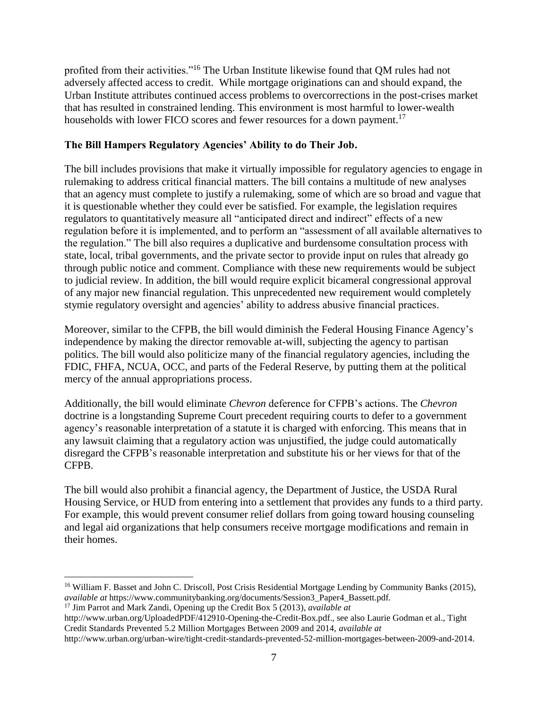profited from their activities."<sup>16</sup> The Urban Institute likewise found that QM rules had not adversely affected access to credit. While mortgage originations can and should expand, the Urban Institute attributes continued access problems to overcorrections in the post-crises market that has resulted in constrained lending. This environment is most harmful to lower-wealth households with lower FICO scores and fewer resources for a down payment.<sup>17</sup>

# **The Bill Hampers Regulatory Agencies' Ability to do Their Job.**

The bill includes provisions that make it virtually impossible for regulatory agencies to engage in rulemaking to address critical financial matters. The bill contains a multitude of new analyses that an agency must complete to justify a rulemaking, some of which are so broad and vague that it is questionable whether they could ever be satisfied. For example, the legislation requires regulators to quantitatively measure all "anticipated direct and indirect" effects of a new regulation before it is implemented, and to perform an "assessment of all available alternatives to the regulation." The bill also requires a duplicative and burdensome consultation process with state, local, tribal governments, and the private sector to provide input on rules that already go through public notice and comment. Compliance with these new requirements would be subject to judicial review. In addition, the bill would require explicit bicameral congressional approval of any major new financial regulation. This unprecedented new requirement would completely stymie regulatory oversight and agencies' ability to address abusive financial practices.

Moreover, similar to the CFPB, the bill would diminish the Federal Housing Finance Agency's independence by making the director removable at-will, subjecting the agency to partisan politics. The bill would also politicize many of the financial regulatory agencies, including the FDIC, FHFA, NCUA, OCC, and parts of the Federal Reserve, by putting them at the political mercy of the annual appropriations process.

Additionally, the bill would eliminate *Chevron* deference for CFPB's actions. The *Chevron*  doctrine is a longstanding Supreme Court precedent requiring courts to defer to a government agency's reasonable interpretation of a statute it is charged with enforcing. This means that in any lawsuit claiming that a regulatory action was unjustified, the judge could automatically disregard the CFPB's reasonable interpretation and substitute his or her views for that of the CFPB.

The bill would also prohibit a financial agency, the Department of Justice, the USDA Rural Housing Service, or HUD from entering into a settlement that provides any funds to a third party. For example, this would prevent consumer relief dollars from going toward housing counseling and legal aid organizations that help consumers receive mortgage modifications and remain in their homes.

<sup>&</sup>lt;sup>16</sup> William F. Basset and John C. Driscoll, Post Crisis Residential Mortgage Lending by Community Banks (2015), *available at* https://www.communitybanking.org/documents/Session3\_Paper4\_Bassett.pdf.

<sup>17</sup> Jim Parrot and Mark Zandi, Opening up the Credit Box 5 (2013), *available at*

http://www.urban.org/UploadedPDF/412910-Opening-the-Credit-Box.pdf., see also Laurie Godman et al., Tight Credit Standards Prevented 5.2 Million Mortgages Between 2009 and 2014, *available at*

http://www.urban.org/urban-wire/tight-credit-standards-prevented-52-million-mortgages-between-2009-and-2014.